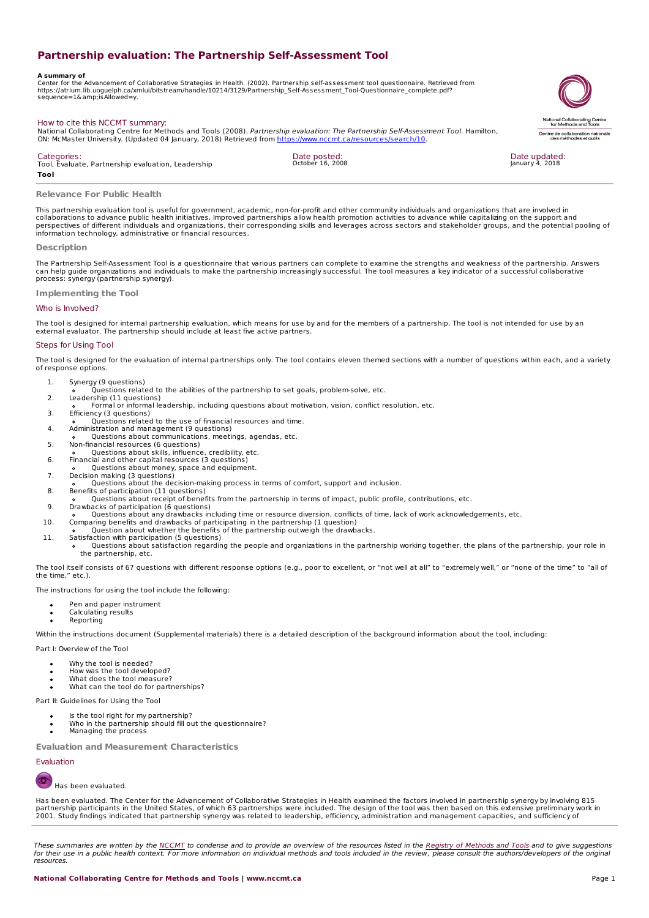# **Partnership evaluation: The Partnership Self-Assessment Tool**

**A summary of** Center for the Advancement of Collaborative Strategies in Health. (2002). Partnership self-assessment tool questionnaire. Retrieved from https://atrium.lib.uoguelph.ca/xmlui/bitstream/handle/10214/3129/Partnership\_Self-Assessment\_Tool-Questionnaire\_complete.pdf? sequence=1&isAllowed=y.



National Collaborating Centre for Methods and Tools (2008). Partnership evaluation: The Partnership Self-Assessment Tool. Hamilton, ON: McMaster University. (Updated 04 January, 2018) Retrieved from <https://www.nccmt.ca/resources/search/10>.

**Categories** Tool, Evaluate, Partnership evaluation, Leadership **Tool**

Date posted:<br><sub>October</sub> 16, 2008



### **Relevance For Public Health**

How to cite this NCCMT summary:

This partnership evaluation tool is useful for government, academic, non-for-profit and other community individuals and organizations that are involved in<br>collaborations to advance public health initiatives. Improved partn perspectives of different individuals and organizations, their corresponding skills and leverages across sectors and stakeholder groups, and the potential pooling of information technology, administrative or financial resources.

### **Description**

The Partnership Self-Assessment Tool is a questionnaire that various partners can complete to examine the strengths and weakness of the partnership. Answers can help guide organizations and individuals to make the partnership increasingly successful. The tool measures a key indicator of a successful collaborative process: synergy (partnership synergy).

**Implementing the Tool**

# Who is Involved?

The tool is designed for internal partnership evaluation, which means for use by and for the members of a partnership. The tool is not intended for use by an<br>external evaluator. The partnership should include at least five

### Steps for Using Tool

The tool is designed for the evaluation of internal partnerships only. The tool contains eleven themed sections with a number of questions within each, and a variety of response options.

- 1. Synergy (9 questions)
- Questions related to the abilities of the partnership to set goals, problem-solve, etc.
- 2. Leadership (11 questions) Formal or informal leadership, including questions about motivation, vision, conflict resolution, etc.
- 3. Efficiency (3 questions)
- 
- o Questions related to the use of financial resources and time.<br>4. Administration and management (9 questions)<br>5. Non-financial resources (6 questions, meetings, agendas, etc.<br>5. Non-financial resources (6 questions)<br>0 Que
- 
- 
- 
- 6. Financial and other capital resources (3 questions) Questions about money, space and equipment.
- 
- 7. Decision making (3 questions) Questions about the decision-making process in terms of comfort, support and inclusion.
- 8. Benefits of participation (11 questions) Questions about receipt of benefits from the partnership in terms of impact, public profile, contributions, etc.
- 
- 9. Drawbacks of participation (6 questions) Questions about any drawbacks including time or resource diversion, conflicts of time, lack of work acknowledgements, etc.
- 10. Comparing benefits and drawbacks of participating in the partnership (1 question) Question about whether the benefits of the partnership outweigh the drawbacks.
- 
- 11. Satisfaction with participation (5 questions) Questions about satisfaction regarding the people and organizations in the partnership working together, the plans of the partnership, your role in the partnership, etc.

The tool itself consists of 67 questions with different response options (e.g., poor to excellent, or "not well at all" to "extremely well," or "none of the time" to "all of the time," etc.).

The instructions for using the tool include the following:

- Pen and paper instrument
- Calculating results
- Reporting

Within the instructions document (Supplemental materials) there is a detailed description of the background information about the tool, including:

Part I: Overview of the Tool

- Why the tool is needed?
- How was the tool developed?
- What does the tool measure? What can the tool do for partnerships?
- 
- Part II: Guidelines for Using the Tool
	- Is the tool right for my partnership?
	- Who in the partnership should fill out the questionnaire? Managing the process

**Evaluation and Measurement Characteristics**

# Evaluation

O Has been evaluated.

Has been evaluated. The Center for the Advancement of Collaborative Strategies in Health examined the factors involved in partnership synergy by involving 815<br>partnership participants in the United States, of which 63 part 2001. Study findings indicated that [partner](http://www.nccmt.ca)ship synergy was related to leadership, efficiency, administration and [management](http://www.nccmt.ca/resources/registry) capacities, and sufficiency of

These [summaries](http://www.nccmt.ca) are written by the <u>NCCMT</u> to condense and to [provide](http://www.nccmt.ca) an overview of the resources listed in the <u>Registry of Methods and Tools</u> and to give suggestions<br>for their use in a public health context. For more in resources.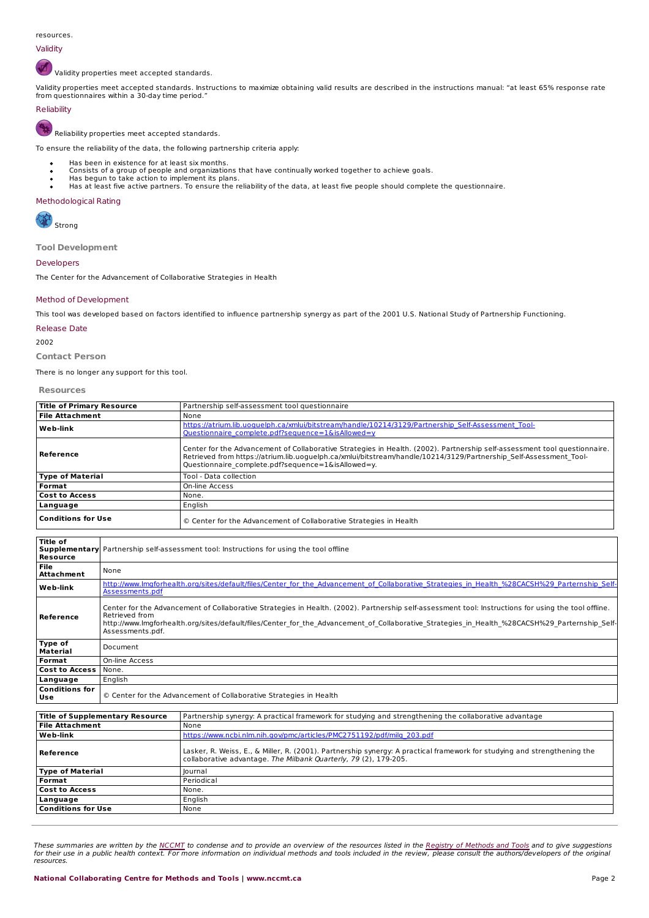# Validity

Validity properties meet accepted standards.

Validity properties meet accepted standards. Instructions to maximize obtaining valid results are described in the instructions manual: "at least 65% response rate<br>from questionnaires within a 30-day time period."

# Reliability

Reliability properties meet accepted standards.

To ensure the reliability of the data, the following partnership criteria apply:

- Has been in existence for at least six months.
- Consists of a group of people and organizations that have continually worked together to achieve goals. Has begun to take action to implement its plans.
- 
- Has at least five active partners. To ensure the reliability of the data, at least five people should complete the questionnaire.

### Methodological Rating

Strong

**Tool Development**

### Developers

The Center for the Advancement of Collaborative Strategies in Health

### Method of Development

This tool was developed based on factors identified to influence partnership synergy as part of the 2001 U.S. National Study of Partnership Functioning.

# Release Date

2002

**Contact Person**

There is no longer any support for this tool.

### **Resources**

| <b>Title of Primary Resource</b> | Partnership self-assessment tool questionnaire                                                                                                                                                                                                                                                       |
|----------------------------------|------------------------------------------------------------------------------------------------------------------------------------------------------------------------------------------------------------------------------------------------------------------------------------------------------|
| l File Attachment                | None                                                                                                                                                                                                                                                                                                 |
| Web-link                         | https://atrium.lib.uoguelph.ca/xmlui/bitstream/handle/10214/3129/Partnership Self-Assessment Tool-<br>Questionnaire complete.pdf?sequence=1&isAllowed=y                                                                                                                                              |
| Reference                        | Center for the Advancement of Collaborative Strategies in Health. (2002). Partnership self-assessment tool questionnaire.<br>Retrieved from https://atrium.lib.uoguelph.ca/xmlui/bitstream/handle/10214/3129/Partnership Self-Assessment Tool-<br>Questionnaire complete.pdf?sequence=1&isAllowed=y. |
| Type of Material                 | Tool - Data collection                                                                                                                                                                                                                                                                               |
| Format                           | On-line Access                                                                                                                                                                                                                                                                                       |
| <b>Cost to Access</b>            | None.                                                                                                                                                                                                                                                                                                |
| Language                         | English                                                                                                                                                                                                                                                                                              |
| <b>Conditions for Use</b>        | © Center for the Advancement of Collaborative Strategies in Health                                                                                                                                                                                                                                   |

| l Title of<br>Resource         | <b>Supplementary</b> Partnership self-assessment tool: Instructions for using the tool offline                                                                                                                                                                                                                                               |
|--------------------------------|----------------------------------------------------------------------------------------------------------------------------------------------------------------------------------------------------------------------------------------------------------------------------------------------------------------------------------------------|
| <b>File</b><br>Attachment      | None                                                                                                                                                                                                                                                                                                                                         |
| Web-link                       | http://www.lmgforhealth.org/sites/default/files/Center for the Advancement of Collaborative Strategies in Health %28CACSH%29 Parternship Self-<br>Assessments.pdf                                                                                                                                                                            |
| Reference                      | Center for the Advancement of Collaborative Strategies in Health. (2002). Partnership self-assessment tool: Instructions for using the tool offline.<br>Retrieved from<br>http://www.lmgforhealth.org/sites/default/files/Center for the Advancement of Collaborative Strategies in Health %28CACSH%29 Parternship Self-<br>Assessments.pdf. |
| Type of<br>Material            | Document                                                                                                                                                                                                                                                                                                                                     |
| Format                         | On-line Access                                                                                                                                                                                                                                                                                                                               |
| Cost to Access                 | None.                                                                                                                                                                                                                                                                                                                                        |
| Language                       | English                                                                                                                                                                                                                                                                                                                                      |
| l Conditions for<br><b>Use</b> | © Center for the Advancement of Collaborative Strategies in Health                                                                                                                                                                                                                                                                           |

| <b>Title of Supplementary Resource</b> | Partnership synergy: A practical framework for studying and strengthening the collaborative advantage                                                                                        |
|----------------------------------------|----------------------------------------------------------------------------------------------------------------------------------------------------------------------------------------------|
| <b>File Attachment</b>                 | None                                                                                                                                                                                         |
| Web-link                               | https://www.ncbi.nlm.nih.gov/pmc/articles/PMC2751192/pdf/milg 203.pdf                                                                                                                        |
| Reference                              | Lasker, R. Weiss, E., & Miller, R. (2001). Partnership synergy: A practical framework for studying and strengthening the<br>collaborative advantage. The Milbank Quarterly, 79 (2), 179-205. |
| <b>Type of Material</b>                | lournal                                                                                                                                                                                      |
| Format                                 | Periodical                                                                                                                                                                                   |
| <b>Cost to Access</b>                  | None.                                                                                                                                                                                        |
| Language                               | English                                                                                                                                                                                      |
| <b>Conditions for Use</b>              | None                                                                                                                                                                                         |

These [summaries](http://www.nccmt.ca) are written by the <u>NCCMT</u> to condense and to [provide](http://www.nccmt.ca) an overview of the resources listed in the <u>Registry of Methods and Tools</u> and to give suggestions<br>for their use in a public health context. For more in resources.